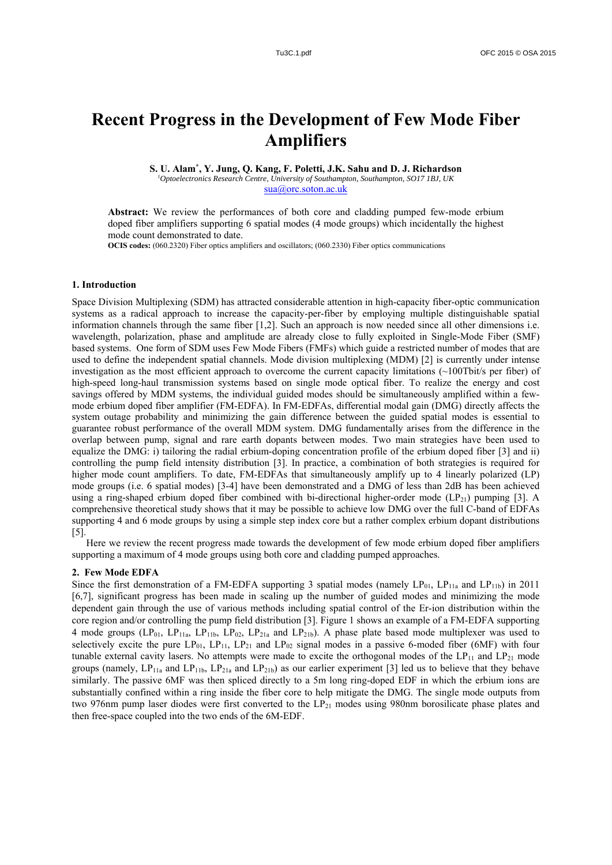# **Recent Progress in the Development of Few Mode Fiber Amplifiers**

**S. U. Alam\* , Y. Jung, Q. Kang, F. Poletti, J.K. Sahu and D. J. Richardson** *1 Optoelectronics Research Centre, University of Southampton, Southampton, SO17 1BJ, UK* 

sua@orc.soton.ac.uk

**Abstract:** We review the performances of both core and cladding pumped few-mode erbium doped fiber amplifiers supporting 6 spatial modes (4 mode groups) which incidentally the highest mode count demonstrated to date.

**OCIS codes:** (060.2320) Fiber optics amplifiers and oscillators; (060.2330) Fiber optics communications

## **1. Introduction**

Space Division Multiplexing (SDM) has attracted considerable attention in high-capacity fiber-optic communication systems as a radical approach to increase the capacity-per-fiber by employing multiple distinguishable spatial information channels through the same fiber [1,2]. Such an approach is now needed since all other dimensions i.e. wavelength, polarization, phase and amplitude are already close to fully exploited in Single-Mode Fiber (SMF) based systems. One form of SDM uses Few Mode Fibers (FMFs) which guide a restricted number of modes that are used to define the independent spatial channels. Mode division multiplexing (MDM) [2] is currently under intense investigation as the most efficient approach to overcome the current capacity limitations (~100Tbit/s per fiber) of high-speed long-haul transmission systems based on single mode optical fiber. To realize the energy and cost savings offered by MDM systems, the individual guided modes should be simultaneously amplified within a fewmode erbium doped fiber amplifier (FM-EDFA). In FM-EDFAs, differential modal gain (DMG) directly affects the system outage probability and minimizing the gain difference between the guided spatial modes is essential to guarantee robust performance of the overall MDM system. DMG fundamentally arises from the difference in the overlap between pump, signal and rare earth dopants between modes. Two main strategies have been used to equalize the DMG: i) tailoring the radial erbium-doping concentration profile of the erbium doped fiber [3] and ii) controlling the pump field intensity distribution [3]. In practice, a combination of both strategies is required for higher mode count amplifiers. To date, FM-EDFAs that simultaneously amplify up to 4 linearly polarized (LP) mode groups (i.e. 6 spatial modes) [3-4] have been demonstrated and a DMG of less than 2dB has been achieved using a ring-shaped erbium doped fiber combined with bi-directional higher-order mode  $(LP<sub>21</sub>)$  pumping [3]. A comprehensive theoretical study shows that it may be possible to achieve low DMG over the full C-band of EDFAs supporting 4 and 6 mode groups by using a simple step index core but a rather complex erbium dopant distributions [5].

Here we review the recent progress made towards the development of few mode erbium doped fiber amplifiers supporting a maximum of 4 mode groups using both core and cladding pumped approaches.

#### **2. Few Mode EDFA**

Since the first demonstration of a FM-EDFA supporting 3 spatial modes (namely  $LP_{01}$ ,  $LP_{11a}$  and  $LP_{11b}$ ) in 2011 [6,7], significant progress has been made in scaling up the number of guided modes and minimizing the mode dependent gain through the use of various methods including spatial control of the Er-ion distribution within the core region and/or controlling the pump field distribution [3]. Figure 1 shows an example of a FM-EDFA supporting 4 mode groups  $(LP_{01}, LP_{11a}, LP_{11b}, LP_{02}, LP_{21a}$  and  $LP_{21b})$ . A phase plate based mode multiplexer was used to selectively excite the pure  $LP_{01}$ ,  $LP_{11}$ ,  $LP_{21}$  and  $LP_{02}$  signal modes in a passive 6-moded fiber (6MF) with four tunable external cavity lasers. No attempts were made to excite the orthogonal modes of the  $LP_{11}$  and  $LP_{21}$  mode groups (namely,  $LP_{11a}$  and  $LP_{11b}$ ,  $LP_{21a}$  and  $LP_{21b}$ ) as our earlier experiment [3] led us to believe that they behave similarly. The passive 6MF was then spliced directly to a 5m long ring-doped EDF in which the erbium ions are substantially confined within a ring inside the fiber core to help mitigate the DMG. The single mode outputs from two 976nm pump laser diodes were first converted to the LP<sub>21</sub> modes using 980nm borosilicate phase plates and then free-space coupled into the two ends of the 6M-EDF.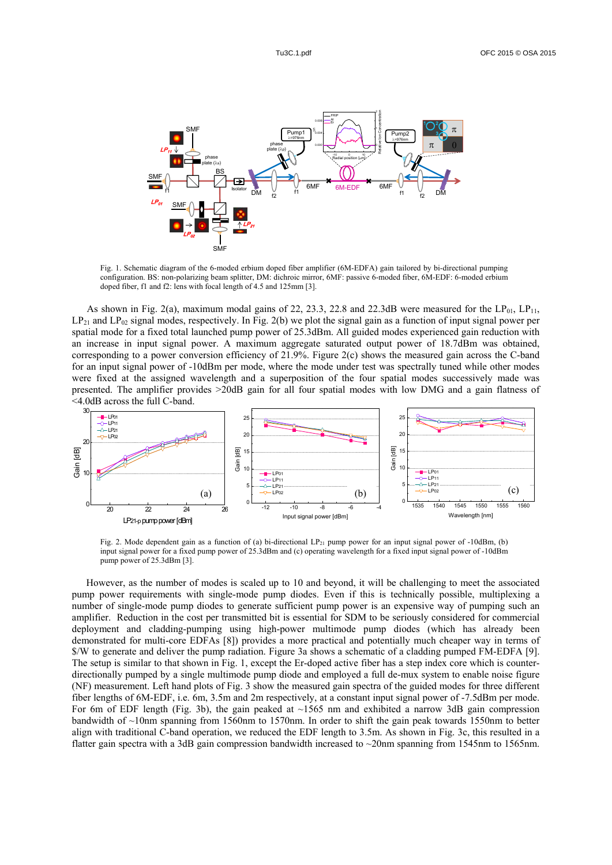

Fig. 1. Schematic diagram of the 6-moded erbium doped fiber amplifier (6M-EDFA) gain tailored by bi-directional pumping configuration. BS: non-polarizing beam splitter, DM: dichroic mirror, 6MF: passive 6-moded fiber, 6M-EDF: 6-moded erbium doped fiber, f1 and f2: lens with focal length of 4.5 and 125mm [3].

As shown in Fig. 2(a), maximum modal gains of 22, 23.3, 22.8 and 22.3dB were measured for the  $LP_{01}$ ,  $LP_{11}$ ,  $LP_{21}$  and  $LP_{02}$  signal modes, respectively. In Fig. 2(b) we plot the signal gain as a function of input signal power per spatial mode for a fixed total launched pump power of 25.3dBm. All guided modes experienced gain reduction with an increase in input signal power. A maximum aggregate saturated output power of 18.7dBm was obtained, corresponding to a power conversion efficiency of 21.9%. Figure 2(c) shows the measured gain across the C-band for an input signal power of -10dBm per mode, where the mode under test was spectrally tuned while other modes were fixed at the assigned wavelength and a superposition of the four spatial modes successively made was presented. The amplifier provides >20dB gain for all four spatial modes with low DMG and a gain flatness of <4.0dB across the full C-band.



Fig. 2. Mode dependent gain as a function of (a) bi-directional  $LP_{21}$  pump power for an input signal power of -10dBm, (b) input signal power for a fixed pump power of 25.3dBm and (c) operating wavelength for a fixed input signal power of -10dBm pump power of 25.3dBm [3].

However, as the number of modes is scaled up to 10 and beyond, it will be challenging to meet the associated pump power requirements with single-mode pump diodes. Even if this is technically possible, multiplexing a number of single-mode pump diodes to generate sufficient pump power is an expensive way of pumping such an amplifier. Reduction in the cost per transmitted bit is essential for SDM to be seriously considered for commercial deployment and cladding-pumping using high-power multimode pump diodes (which has already been demonstrated for multi-core EDFAs [8]) provides a more practical and potentially much cheaper way in terms of \$/W to generate and deliver the pump radiation. Figure 3a shows a schematic of a cladding pumped FM-EDFA [9]. The setup is similar to that shown in Fig. 1, except the Er-doped active fiber has a step index core which is counterdirectionally pumped by a single multimode pump diode and employed a full de-mux system to enable noise figure (NF) measurement. Left hand plots of Fig. 3 show the measured gain spectra of the guided modes for three different fiber lengths of 6M-EDF, i.e. 6m, 3.5m and 2m respectively, at a constant input signal power of -7.5dBm per mode. For 6m of EDF length (Fig. 3b), the gain peaked at  $\sim$ 1565 nm and exhibited a narrow 3dB gain compression bandwidth of ~10nm spanning from 1560nm to 1570nm. In order to shift the gain peak towards 1550nm to better align with traditional C-band operation, we reduced the EDF length to 3.5m. As shown in Fig. 3c, this resulted in a flatter gain spectra with a 3dB gain compression bandwidth increased to ~20nm spanning from 1545nm to 1565nm.